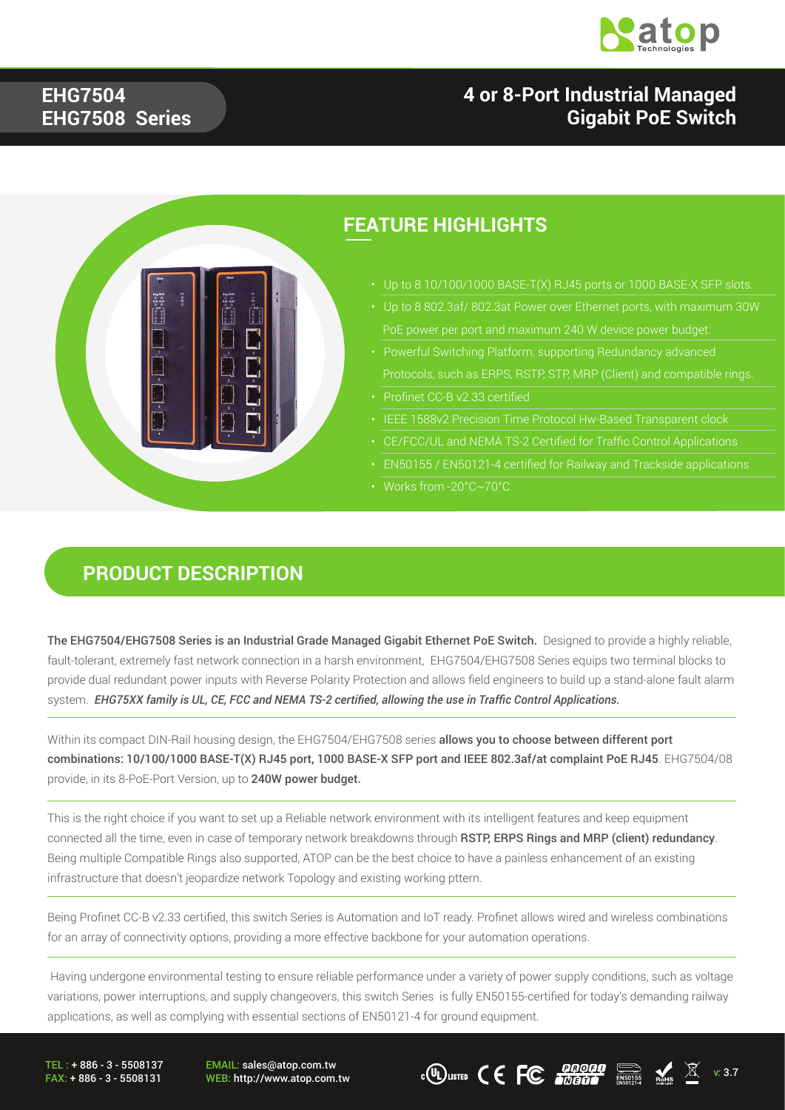

#### **4 or 8-Port Industrial Managed Gigabit PoE Switch**

#### **EHG7504 EHG7508 Series**



#### **FEATURE HIGHLIGHTS**

- Up to 8 10/100/1000 BASE-T(X) RJ45 ports or 1000 BASE-X SFP slots.
- 
- Protocols, such as ERPS, RSTP, STP, MRP (Client) and compatible rings.
- Profinet CC-B v2.33 certified
- 
- CE/FCC/UL and NEMA TS-2 Certified for Traffic Control Applications
- EN50155 / EN50121-4 certified for Railway and Trackside applications
- Works from -20°C~70°C

#### **PRODUCT DESCRIPTION**

The EHG7504/EHG7508 Series is an Industrial Grade Managed Gigabit Ethernet PoE Switch. Designed to provide a highly reliable, fault-tolerant, extremely fast network connection in a harsh environment, EHG7504/EHG7508 Series equips two terminal blocks to provide dual redundant power inputs with Reverse Polarity Protection and allows field engineers to build up a stand-alone fault alarm system. *EHG75XX family is UL, CE, FCC and NEMA TS-2 certified, allowing the use in Traffic Control Applications.*

Within its compact DIN-Rail housing design, the EHG7504/EHG7508 series allows you to choose between different port combinations: 10/100/1000 BASE-T(X) RJ45 port, 1000 BASE-X SFP port and IEEE 802.3af/at complaint PoE RJ45. EHG7504/08 provide, in its 8-PoE-Port Version, up to 240W power budget.

This is the right choice if you want to set up a Reliable network environment with its intelligent features and keep equipment connected all the time, even in case of temporary network breakdowns through RSTP, ERPS Rings and MRP (client) redundancy. Being multiple Compatible Rings also supported, ATOP can be the best choice to have a painless enhancement of an existing infrastructure that doesn't jeopardize network Topology and existing working pttern.

Being Profinet CC-B v2.33 certified, this switch Series is Automation and IoT ready. Profinet allows wired and wireless combinations for an array of connectivity options, providing a more effective backbone for your automation operations.

 Having undergone environmental testing to ensure reliable performance under a variety of power supply conditions, such as voltage variations, power interruptions, and supply changeovers, this switch Series is fully EN50155-certified for today's demanding railway applications, as well as complying with essential sections of EN50121-4 for ground equipment.

TEL : + 886 - 3 - 5508137 FAX: + 886 - 3 - 5508131 EMAIL: sales@atop.com.tw

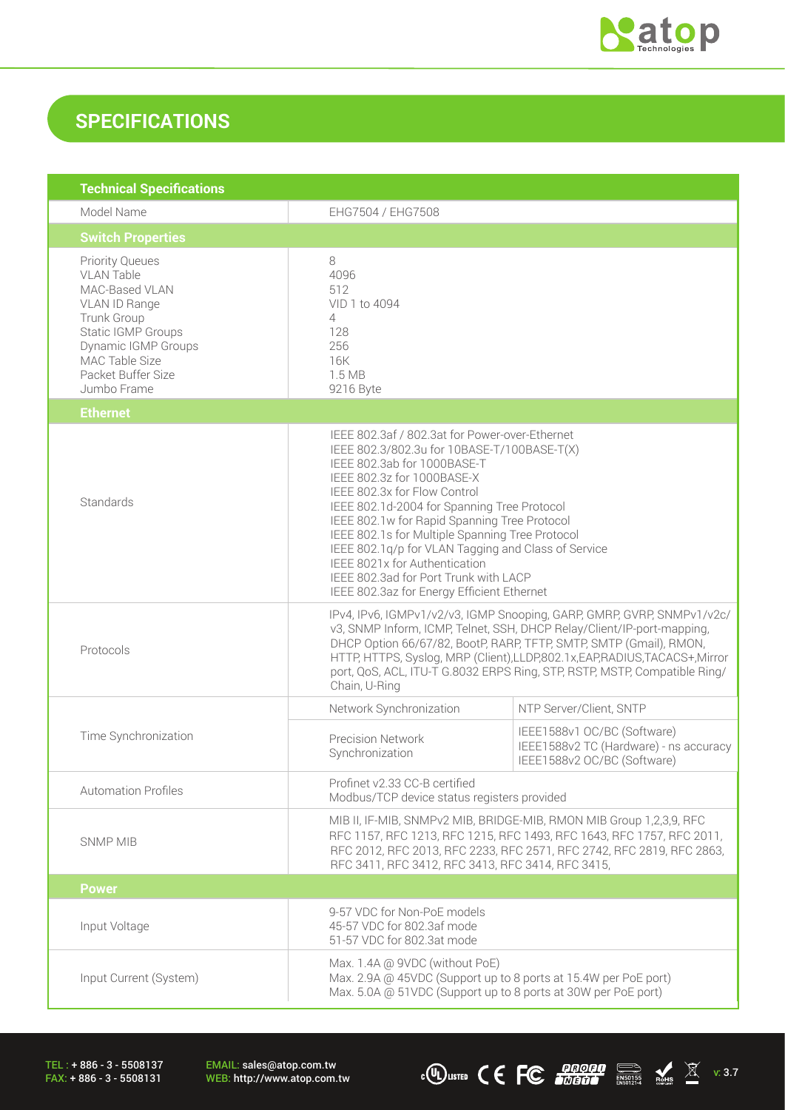

### **SPECIFICATIONS**

| <b>Technical Specifications</b>                                                                                                                                                                          |                                                                                                                                                                                                                                                                                                                                                                                                                                                                                                                             |                                                                                                      |  |
|----------------------------------------------------------------------------------------------------------------------------------------------------------------------------------------------------------|-----------------------------------------------------------------------------------------------------------------------------------------------------------------------------------------------------------------------------------------------------------------------------------------------------------------------------------------------------------------------------------------------------------------------------------------------------------------------------------------------------------------------------|------------------------------------------------------------------------------------------------------|--|
| Model Name                                                                                                                                                                                               | EHG7504 / EHG7508                                                                                                                                                                                                                                                                                                                                                                                                                                                                                                           |                                                                                                      |  |
| <b>Switch Properties</b>                                                                                                                                                                                 |                                                                                                                                                                                                                                                                                                                                                                                                                                                                                                                             |                                                                                                      |  |
| <b>Priority Queues</b><br><b>VLAN Table</b><br>MAC-Based VLAN<br>VLAN ID Range<br>Trunk Group<br><b>Static IGMP Groups</b><br>Dynamic IGMP Groups<br>MAC Table Size<br>Packet Buffer Size<br>Jumbo Frame | 8<br>4096<br>512<br>VID 1 to 4094<br>4<br>128<br>256<br>16K<br>1.5 MB<br>9216 Byte                                                                                                                                                                                                                                                                                                                                                                                                                                          |                                                                                                      |  |
| <b>Ethernet</b>                                                                                                                                                                                          |                                                                                                                                                                                                                                                                                                                                                                                                                                                                                                                             |                                                                                                      |  |
| Standards                                                                                                                                                                                                | IEEE 802.3af / 802.3at for Power-over-Ethernet<br>IEEE 802.3/802.3u for 10BASE-T/100BASE-T(X)<br>IEEE 802.3ab for 1000BASE-T<br>IEEE 802.3z for 1000BASE-X<br>IEEE 802.3x for Flow Control<br>IEEE 802.1d-2004 for Spanning Tree Protocol<br>IEEE 802.1w for Rapid Spanning Tree Protocol<br>IEEE 802.1s for Multiple Spanning Tree Protocol<br>IEEE 802.1g/p for VLAN Tagging and Class of Service<br>IEEE 8021x for Authentication<br>IEEE 802.3ad for Port Trunk with LACP<br>IEEE 802.3az for Energy Efficient Ethernet |                                                                                                      |  |
| Protocols                                                                                                                                                                                                | IPv4, IPv6, IGMPv1/v2/v3, IGMP Snooping, GARP, GMRP, GVRP, SNMPv1/v2c/<br>v3, SNMP Inform, ICMP, Telnet, SSH, DHCP Relay/Client/IP-port-mapping,<br>DHCP Option 66/67/82, BootP, RARP, TFTP, SMTP, SMTP (Gmail), RMON,<br>HTTP, HTTPS, Syslog, MRP (Client), LLDP, 802.1x, EAP, RADIUS, TACACS+, Mirror<br>port, QoS, ACL, ITU-T G.8032 ERPS Ring, STP, RSTP, MSTP, Compatible Ring/<br>Chain, U-Ring                                                                                                                       |                                                                                                      |  |
|                                                                                                                                                                                                          | Network Synchronization                                                                                                                                                                                                                                                                                                                                                                                                                                                                                                     | NTP Server/Client, SNTP                                                                              |  |
| Time Synchronization                                                                                                                                                                                     | <b>Precision Network</b><br>Synchronization                                                                                                                                                                                                                                                                                                                                                                                                                                                                                 | IEEE1588v1 OC/BC (Software)<br>IEEE1588v2 TC (Hardware) - ns accuracy<br>IEEE1588v2 OC/BC (Software) |  |
| <b>Automation Profiles</b>                                                                                                                                                                               | Profinet v2.33 CC-B certified<br>Modbus/TCP device status registers provided                                                                                                                                                                                                                                                                                                                                                                                                                                                |                                                                                                      |  |
| <b>SNMP MIB</b>                                                                                                                                                                                          | MIB II, IF-MIB, SNMPv2 MIB, BRIDGE-MIB, RMON MIB Group 1,2,3,9, RFC<br>RFC 1157, RFC 1213, RFC 1215, RFC 1493, RFC 1643, RFC 1757, RFC 2011,<br>RFC 2012, RFC 2013, RFC 2233, RFC 2571, RFC 2742, RFC 2819, RFC 2863,<br>RFC 3411, RFC 3412, RFC 3413, RFC 3414, RFC 3415,                                                                                                                                                                                                                                                  |                                                                                                      |  |
| <b>Power</b>                                                                                                                                                                                             |                                                                                                                                                                                                                                                                                                                                                                                                                                                                                                                             |                                                                                                      |  |
| Input Voltage                                                                                                                                                                                            | 9-57 VDC for Non-PoE models<br>45-57 VDC for 802.3af mode<br>51-57 VDC for 802.3at mode                                                                                                                                                                                                                                                                                                                                                                                                                                     |                                                                                                      |  |
| Input Current (System)                                                                                                                                                                                   | Max. 1.4A @ 9VDC (without PoE)<br>Max. 2.9A @ 45VDC (Support up to 8 ports at 15.4W per PoE port)<br>Max. 5.0A @ 51VDC (Support up to 8 ports at 30W per PoE port)                                                                                                                                                                                                                                                                                                                                                          |                                                                                                      |  |

TEL : + 886 - 3 - 5508137 FAX: + 886 - 3 - 5508131

EMAIL: sales@atop.com.tw<br>WEB: http://www.atop.com.tw

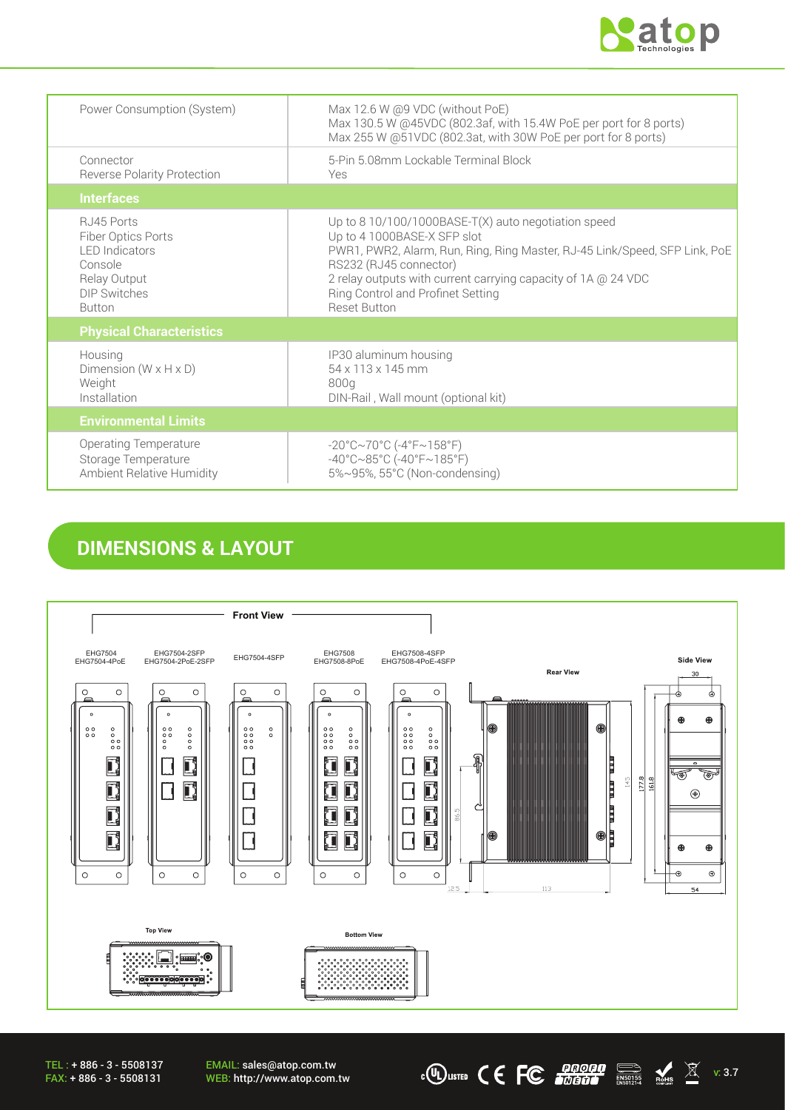

| Power Consumption (System)                                                                                            | Max 12.6 W @9 VDC (without PoE)<br>Max 130.5 W @45VDC (802.3af, with 15.4W PoE per port for 8 ports)<br>Max 255 W @51VDC (802.3at, with 30W PoE per port for 8 ports)                                                                                                                                                   |
|-----------------------------------------------------------------------------------------------------------------------|-------------------------------------------------------------------------------------------------------------------------------------------------------------------------------------------------------------------------------------------------------------------------------------------------------------------------|
| Connector<br><b>Reverse Polarity Protection</b>                                                                       | 5-Pin 5.08mm Lockable Terminal Block<br>Yes                                                                                                                                                                                                                                                                             |
| <b>Interfaces</b>                                                                                                     |                                                                                                                                                                                                                                                                                                                         |
| RJ45 Ports<br>Fiber Optics Ports<br><b>LED</b> Indicators<br>Console<br>Relay Output<br>DIP Switches<br><b>Button</b> | Up to 8 10/100/1000BASE-T(X) auto negotiation speed<br>Up to 4 1000BASE-X SFP slot<br>PWR1, PWR2, Alarm, Run, Ring, Ring Master, RJ-45 Link/Speed, SFP Link, PoE<br>RS232 (RJ45 connector)<br>2 relay outputs with current carrying capacity of 1A @ 24 VDC<br>Ring Control and Profinet Setting<br><b>Reset Button</b> |
| <b>Physical Characteristics</b>                                                                                       |                                                                                                                                                                                                                                                                                                                         |
| Housing<br>Dimension ( $W \times H \times D$ )<br>Weight<br>Installation                                              | IP30 aluminum housing<br>54 x 113 x 145 mm<br>800g<br>DIN-Rail, Wall mount (optional kit)                                                                                                                                                                                                                               |
| <b>Environmental Limits</b>                                                                                           |                                                                                                                                                                                                                                                                                                                         |
| <b>Operating Temperature</b><br>Storage Temperature<br><b>Ambient Relative Humidity</b>                               | $-20^{\circ}$ C $\sim$ 70°C (-4°F $\sim$ 158°F)<br>$-40^{\circ}$ C $\sim$ 85°C (-40°F $\sim$ 185°F)<br>5%~95%, 55°C (Non-condensing)                                                                                                                                                                                    |

### **DIMENSIONS & LAYOUT**



 $\overline{\text{C}}$  (U) LISTED  $\overline{\text{C}}$   $\overline{\text{C}}$   $\overline{\text{C}}$   $\overline{\text{C}}$   $\overline{\text{C}}$   $\overline{\text{C}}$   $\overline{\text{C}}$   $\overline{\text{C}}$   $\overline{\text{C}}$   $\overline{\text{C}}$   $\overline{\text{C}}$   $\overline{\text{C}}$   $\overline{\text{C}}$   $\overline{\text{C}}$   $\overline{\text{C}}$   $\overline{\text{C}}$   $\overline{\text{C}}$   $\overline{\text{C}}$ 

TEL : + 886 - 3 - 5508137 FAX: + 886 - 3 - 5508131

EMAIL: sales@atop.com.tw<br>WEB: http://www.atop.com.tw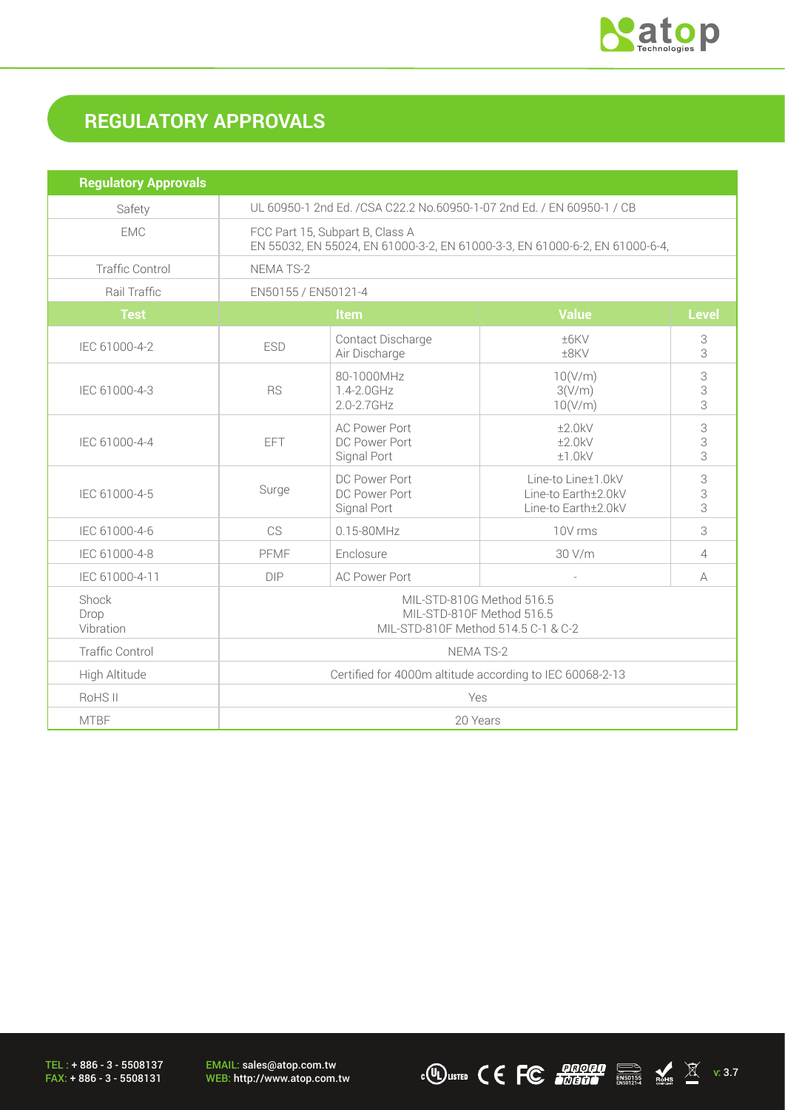

# **REGULATORY APPROVALS**

| <b>Regulatory Approvals</b> |                                                                                                                |                                                      |                                                                  |                |
|-----------------------------|----------------------------------------------------------------------------------------------------------------|------------------------------------------------------|------------------------------------------------------------------|----------------|
| Safety                      | UL 60950-1 2nd Ed. / CSA C22.2 No.60950-1-07 2nd Ed. / EN 60950-1 / CB                                         |                                                      |                                                                  |                |
| <b>EMC</b>                  | FCC Part 15, Subpart B, Class A<br>EN 55032, EN 55024, EN 61000-3-2, EN 61000-3-3, EN 61000-6-2, EN 61000-6-4, |                                                      |                                                                  |                |
| <b>Traffic Control</b>      | NEMA TS-2                                                                                                      |                                                      |                                                                  |                |
| Rail Traffic                | EN50155 / EN50121-4                                                                                            |                                                      |                                                                  |                |
| <b>Test</b>                 | <b>Value</b><br><b>Level</b><br>Item                                                                           |                                                      |                                                                  |                |
| IEC 61000-4-2               | <b>ESD</b>                                                                                                     | Contact Discharge<br>Air Discharge                   | ±6KV<br>±8KV                                                     | 3<br>3         |
| IEC 61000-4-3               | <b>RS</b>                                                                                                      | 80-1000MHz<br>1.4-2.0GHz<br>2.0-2.7GHz               | 10(V/m)<br>3(V/m)<br>10(V/m)                                     | 3<br>3<br>3    |
| IEC 61000-4-4               | <b>EFT</b>                                                                                                     | <b>AC Power Port</b><br>DC Power Port<br>Signal Port | ±2.0kV<br>±2.0kV<br>±1.0kV                                       | 3<br>3<br>3    |
| IEC 61000-4-5               | Surge                                                                                                          | DC Power Port<br>DC Power Port<br>Signal Port        | Line-to Line±1.0kV<br>Line-to Earth±2.0kV<br>Line-to Earth±2.0kV | 3<br>3<br>3    |
| IEC 61000-4-6               | CS                                                                                                             | 0.15-80MHz                                           | 10V rms                                                          | 3              |
| IEC 61000-4-8               | PFMF                                                                                                           | Enclosure                                            | 30 V/m                                                           | $\overline{4}$ |
| IEC 61000-4-11              | <b>DIP</b>                                                                                                     | <b>AC Power Port</b>                                 |                                                                  | A              |
| Shock<br>Drop<br>Vibration  | MIL-STD-810G Method 516.5<br>MIL-STD-810F Method 516.5<br>MIL-STD-810F Method 514.5 C-1 & C-2                  |                                                      |                                                                  |                |
| <b>Traffic Control</b>      | NEMA TS-2                                                                                                      |                                                      |                                                                  |                |
| High Altitude               | Certified for 4000m altitude according to IEC 60068-2-13                                                       |                                                      |                                                                  |                |
| RoHS II                     | Yes                                                                                                            |                                                      |                                                                  |                |
| <b>MTBF</b>                 | 20 Years                                                                                                       |                                                      |                                                                  |                |